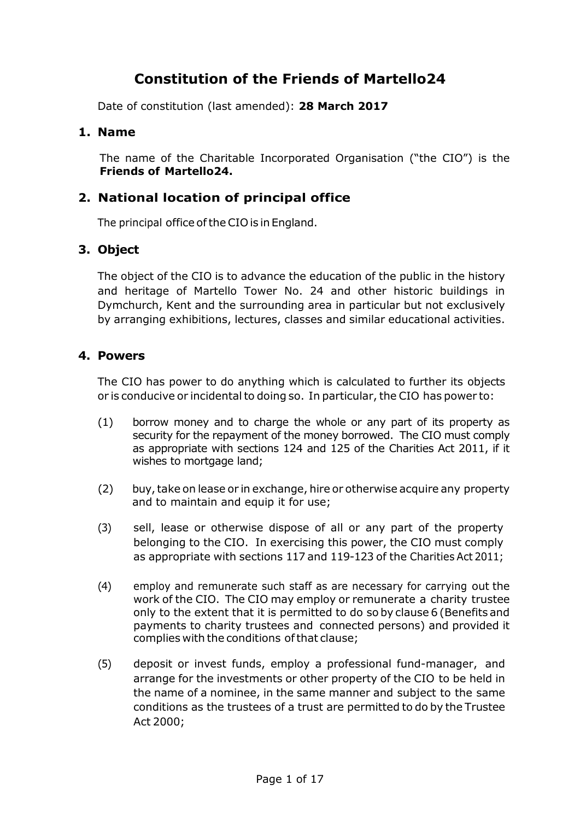# **Constitution of the Friends of Martello24**

Date of constitution (last amended): **28 March 2017**

#### **1. Name**

The name of the Charitable Incorporated Organisation ("the CIO") is the **Friends of Martello24.** 

### **2. National location of principal office**

The principal office of the CIO is in England.

#### **3. Object**

The object of the CIO is to advance the education of the public in the history and heritage of Martello Tower No. 24 and other historic buildings in Dymchurch, Kent and the surrounding area in particular but not exclusively by arranging exhibitions, lectures, classes and similar educational activities.

#### **4. Powers**

The CIO has power to do anything which is calculated to further its objects or is conducive or incidental to doing so. In particular, the CIO has power to:

- (1) borrow money and to charge the whole or any part of its property as security for the repayment of the money borrowed. The CIO must comply as appropriate with sections 124 and 125 of the Charities Act 2011, if it wishes to mortgage land;
- (2) buy,take on lease or in exchange, hire or otherwise acquire any property and to maintain and equip it for use;
- (3) sell, lease or otherwise dispose of all or any part of the property belonging to the CIO. In exercising this power, the CIO must comply as appropriate with sections 117 and 119-123 of the Charities Act 2011;
- (4) employ and remunerate such staff as are necessary for carrying out the work of the CIO. The CIO may employ or remunerate a charity trustee only to the extent that it is permitted to do so by clause 6 (Benefits and payments to charity trustees and connected persons) and provided it complies with the conditions ofthat clause;
- (5) deposit or invest funds, employ a professional fund-manager, and arrange for the investments or other property of the CIO to be held in the name of a nominee, in the same manner and subject to the same conditions as the trustees of a trust are permitted to do by the Trustee Act 2000;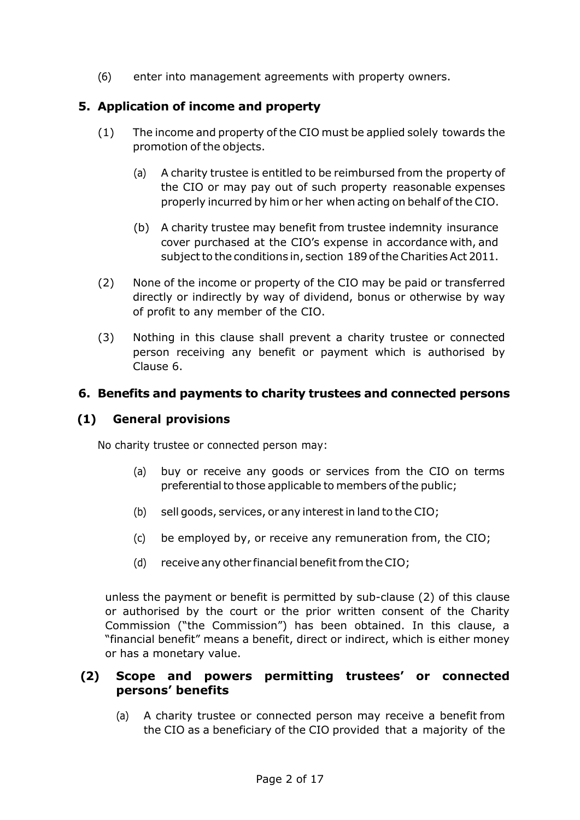(6) enter into management agreements with property owners.

# **5. Application of income and property**

- (1) The income and property of the CIO must be applied solely towards the promotion of the objects.
	- (a) A charity trustee is entitled to be reimbursed from the property of the CIO or may pay out of such property reasonable expenses properly incurred by him or her when acting on behalf of the CIO.
	- (b) A charity trustee may benefit from trustee indemnity insurance cover purchased at the CIO's expense in accordance with, and subject to the conditions in, section 189 of the Charities Act 2011.
- (2) None of the income or property of the CIO may be paid or transferred directly or indirectly by way of dividend, bonus or otherwise by way of profit to any member of the CIO.
- (3) Nothing in this clause shall prevent a charity trustee or connected person receiving any benefit or payment which is authorised by Clause 6.

### **6. Benefits and payments to charity trustees and connected persons**

### **(1) General provisions**

No charity trustee or connected person may:

- (a) buy or receive any goods or services from the CIO on terms preferential to those applicable to members of the public;
- (b) sell goods, services, or any interestin land to the CIO;
- (c) be employed by, or receive any remuneration from, the CIO;
- (d) receive any other financial benefit from the CIO;

unless the payment or benefit is permitted by sub-clause (2) of this clause or authorised by the court or the prior written consent of the Charity Commission ("the Commission") has been obtained. In this clause, a "financial benefit" means a benefit, direct or indirect, which is either money or has a monetary value.

### **(2) Scope and powers permitting trustees' or connected persons' benefits**

(a) A charity trustee or connected person may receive a benefit from the CIO as a beneficiary of the CIO provided that a majority of the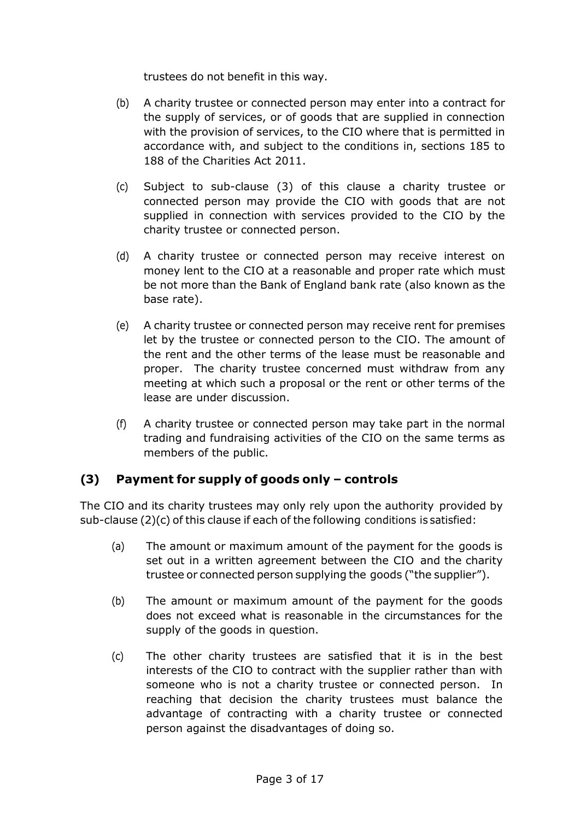trustees do not benefit in this way.

- (b) A charity trustee or connected person may enter into a contract for the supply of services, or of goods that are supplied in connection with the provision of services, to the CIO where that is permitted in accordance with, and subject to the conditions in, sections 185 to 188 of the Charities Act 2011.
- (c) Subject to sub-clause (3) of this clause a charity trustee or connected person may provide the CIO with goods that are not supplied in connection with services provided to the CIO by the charity trustee or connected person.
- (d) A charity trustee or connected person may receive interest on money lent to the CIO at a reasonable and proper rate which must be not more than the Bank of England bank rate (also known as the base rate).
- (e) A charity trustee or connected person may receive rent for premises let by the trustee or connected person to the CIO. The amount of the rent and the other terms of the lease must be reasonable and proper. The charity trustee concerned must withdraw from any meeting at which such a proposal or the rent or other terms of the lease are under discussion.
- (f) A charity trustee or connected person may take part in the normal trading and fundraising activities of the CIO on the same terms as members of the public.

### **(3) Payment for supply of goods only – controls**

The CIO and its charity trustees may only rely upon the authority provided by sub-clause (2)(c) of this clause if each of the following conditions is satisfied:

- (a) The amount or maximum amount of the payment for the goods is set out in a written agreement between the CIO and the charity trustee or connected person supplying the goods ("the supplier").
- (b) The amount or maximum amount of the payment for the goods does not exceed what is reasonable in the circumstances for the supply of the goods in question.
- (c) The other charity trustees are satisfied that it is in the best interests of the CIO to contract with the supplier rather than with someone who is not a charity trustee or connected person. In reaching that decision the charity trustees must balance the advantage of contracting with a charity trustee or connected person against the disadvantages of doing so.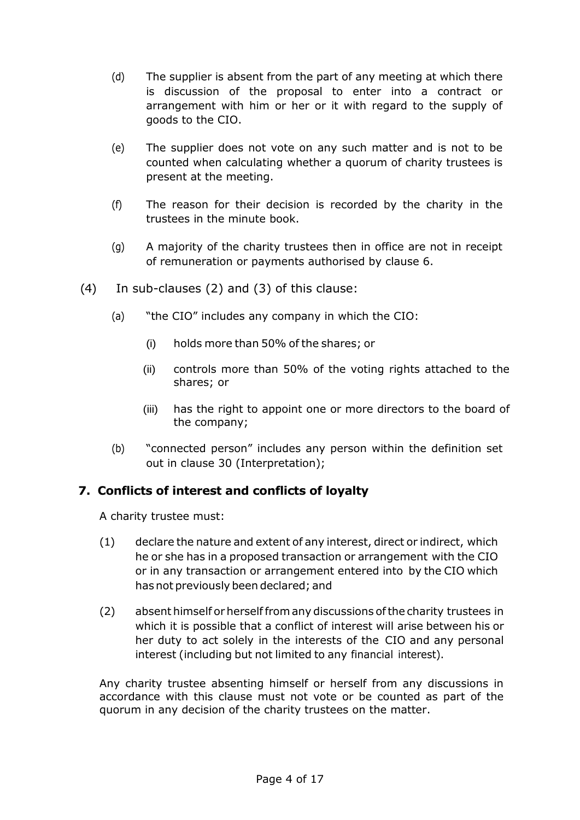- (d) The supplier is absent from the part of any meeting at which there is discussion of the proposal to enter into a contract or arrangement with him or her or it with regard to the supply of goods to the CIO.
- (e) The supplier does not vote on any such matter and is not to be counted when calculating whether a quorum of charity trustees is present at the meeting.
- (f) The reason for their decision is recorded by the charity in the trustees in the minute book.
- (g) A majority of the charity trustees then in office are not in receipt of remuneration or payments authorised by clause 6.
- (4) In sub-clauses (2) and (3) of this clause:
	- (a) "the CIO" includes any company in which the CIO:
		- (i) holds more than 50% of the shares; or
		- (ii) controls more than 50% of the voting rights attached to the shares; or
		- (iii) has the right to appoint one or more directors to the board of the company;
	- (b) "connected person" includes any person within the definition set out in clause 30 (Interpretation);

# **7. Conflicts of interest and conflicts of loyalty**

A charity trustee must:

- (1) declare the nature and extent of any interest, direct or indirect, which he or she has in a proposed transaction or arrangement with the CIO or in any transaction or arrangement entered into by the CIO which has not previously been declared; and
- (2) absent himself or herselffromany discussions ofthe charity trustees in which it is possible that a conflict of interest will arise between his or her duty to act solely in the interests of the CIO and any personal interest (including but not limited to any financial interest).

Any charity trustee absenting himself or herself from any discussions in accordance with this clause must not vote or be counted as part of the quorum in any decision of the charity trustees on the matter.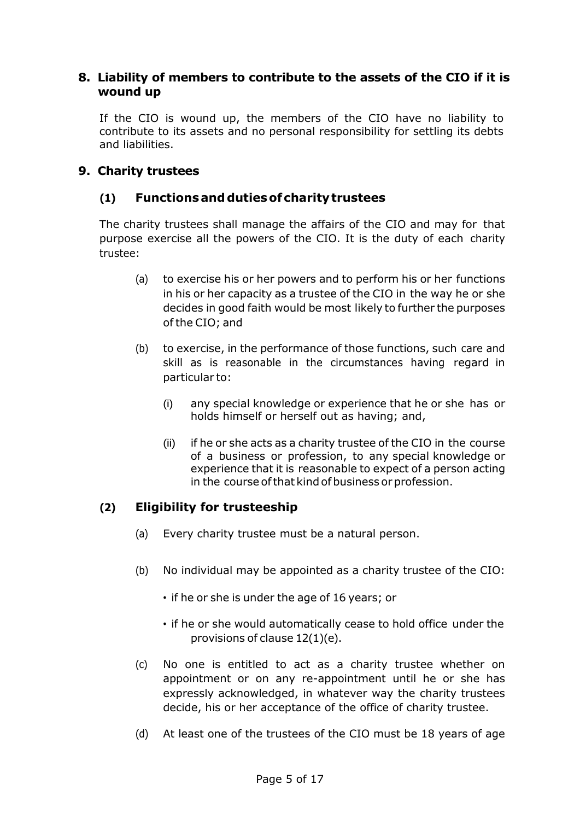### **8. Liability of members to contribute to the assets of the CIO if it is wound up**

If the CIO is wound up, the members of the CIO have no liability to contribute to its assets and no personal responsibility for settling its debts and liabilities.

# **9. Charity trustees**

### **(1) Functionsanddutiesof charitytrustees**

The charity trustees shall manage the affairs of the CIO and may for that purpose exercise all the powers of the CIO. It is the duty of each charity trustee:

- (a) to exercise his or her powers and to perform his or her functions in his or her capacity as a trustee of the CIO in the way he or she decides in good faith would be most likely to further the purposes of the CIO; and
- (b) to exercise, in the performance of those functions, such care and skill as is reasonable in the circumstances having regard in particular to:
	- (i) any special knowledge or experience that he or she has or holds himself or herself out as having; and,
	- (ii) if he or she acts as a charity trustee of the CIO in the course of a business or profession, to any special knowledge or experience that it is reasonable to expect of a person acting in the course ofthat kind of business or profession.

# **(2) Eligibility for trusteeship**

- (a) Every charity trustee must be a natural person.
- (b) No individual may be appointed as a charity trustee of the CIO:
	- if he or she is under the age of 16 years; or
	- if he or she would automatically cease to hold office under the provisions of clause 12(1)(e).
- (c) No one is entitled to act as a charity trustee whether on appointment or on any re-appointment until he or she has expressly acknowledged, in whatever way the charity trustees decide, his or her acceptance of the office of charity trustee.
- (d) At least one of the trustees of the CIO must be 18 years of age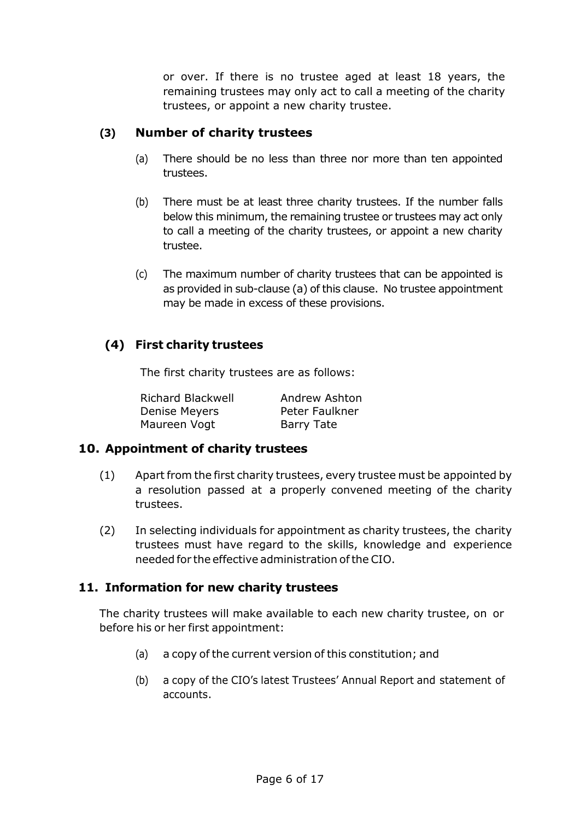or over. If there is no trustee aged at least 18 years, the remaining trustees may only act to call a meeting of the charity trustees, or appoint a new charity trustee.

### **(3) Number of charity trustees**

- (a) There should be no less than three nor more than ten appointed trustees.
- (b) There must be at least three charity trustees. If the number falls below this minimum, the remaining trustee or trustees may act only to call a meeting of the charity trustees, or appoint a new charity trustee.
- (c) The maximum number of charity trustees that can be appointed is as provided in sub-clause (a) of this clause. No trustee appointment may be made in excess of these provisions.

### **(4) First charity trustees**

The first charity trustees are as follows:

| <b>Richard Blackwell</b> | Andrew Ashton     |
|--------------------------|-------------------|
| Denise Meyers            | Peter Faulkner    |
| Maureen Vogt             | <b>Barry Tate</b> |

### **10. Appointment of charity trustees**

- (1) Apart from the first charity trustees, every trustee must be appointed by a resolution passed at a properly convened meeting of the charity trustees.
- (2) In selecting individuals for appointment as charity trustees, the charity trustees must have regard to the skills, knowledge and experience needed for the effective administration ofthe CIO.

### **11. Information for new charity trustees**

The charity trustees will make available to each new charity trustee, on or before his or her first appointment:

- (a) a copy of the current version of this constitution; and
- (b) a copy of the CIO's latest Trustees' Annual Report and statement of accounts.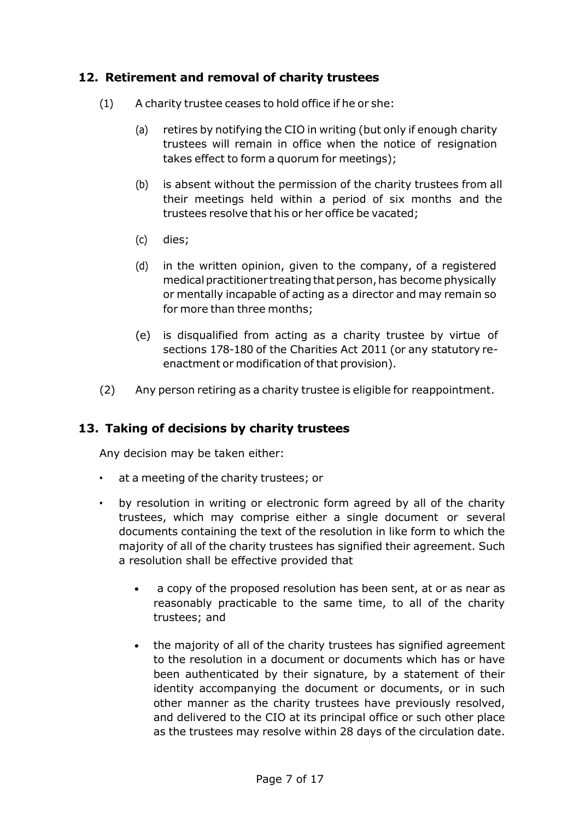### **12. Retirement and removal of charity trustees**

- (1) A charity trustee ceases to hold office if he or she:
	- (a) retires by notifying the CIO in writing (but only if enough charity trustees will remain in office when the notice of resignation takes effect to form a quorum for meetings);
	- (b) is absent without the permission of the charity trustees from all their meetings held within a period of six months and the trustees resolve that his or her office be vacated;
	- (c) dies;
	- (d) in the written opinion, given to the company, of a registered medical practitioner treating that person, has become physically or mentally incapable of acting as a director and may remain so for more than three months;
	- (e) is disqualified from acting as a charity trustee by virtue of sections 178-180 of the Charities Act 2011 (or any statutory reenactment or modification of that provision).
- (2) Any person retiring as a charity trustee is eligible for reappointment.

### **13. Taking of decisions by charity trustees**

Any decision may be taken either:

- at a meeting of the charity trustees; or
- by resolution in writing or electronic form agreed by all of the charity trustees, which may comprise either a single document or several documents containing the text of the resolution in like form to which the majority of all of the charity trustees has signified their agreement. Such a resolution shall be effective provided that
	- a copy of the proposed resolution has been sent, at or as near as reasonably practicable to the same time, to all of the charity trustees; and
	- the majority of all of the charity trustees has signified agreement to the resolution in a document or documents which has or have been authenticated by their signature, by a statement of their identity accompanying the document or documents, or in such other manner as the charity trustees have previously resolved, and delivered to the CIO at its principal office or such other place as the trustees may resolve within 28 days of the circulation date.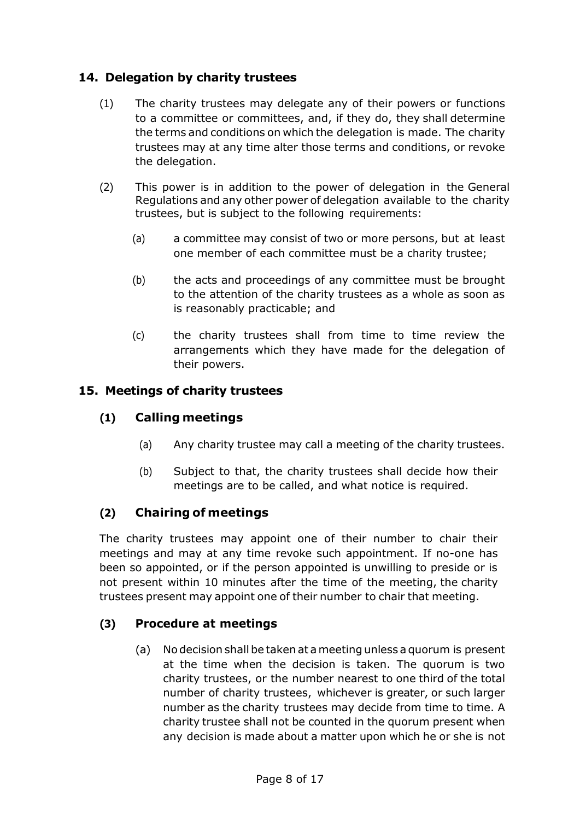# **14. Delegation by charity trustees**

- (1) The charity trustees may delegate any of their powers or functions to a committee or committees, and, if they do, they shall determine the terms and conditions on which the delegation is made. The charity trustees may at any time alter those terms and conditions, or revoke the delegation.
- (2) This power is in addition to the power of delegation in the General Regulations and any other power of delegation available to the charity trustees, but is subject to the following requirements:
	- (a) a committee may consist of two or more persons, but at least one member of each committee must be a charity trustee;
	- (b) the acts and proceedings of any committee must be brought to the attention of the charity trustees as a whole as soon as is reasonably practicable; and
	- (c) the charity trustees shall from time to time review the arrangements which they have made for the delegation of their powers.

# **15. Meetings of charity trustees**

# **(1) Calling meetings**

- (a) Any charity trustee may call a meeting of the charity trustees.
- (b) Subject to that, the charity trustees shall decide how their meetings are to be called, and what notice is required.

# **(2) Chairing of meetings**

The charity trustees may appoint one of their number to chair their meetings and may at any time revoke such appointment. If no-one has been so appointed, or if the person appointed is unwilling to preside or is not present within 10 minutes after the time of the meeting, the charity trustees present may appoint one of their number to chair that meeting.

### **(3) Procedure at meetings**

(a) No decision shall be taken at a meeting unless a quorum is present at the time when the decision is taken. The quorum is two charity trustees, or the number nearest to one third of the total number of charity trustees, whichever is greater, or such larger number as the charity trustees may decide from time to time. A charity trustee shall not be counted in the quorum present when any decision is made about a matter upon which he or she is not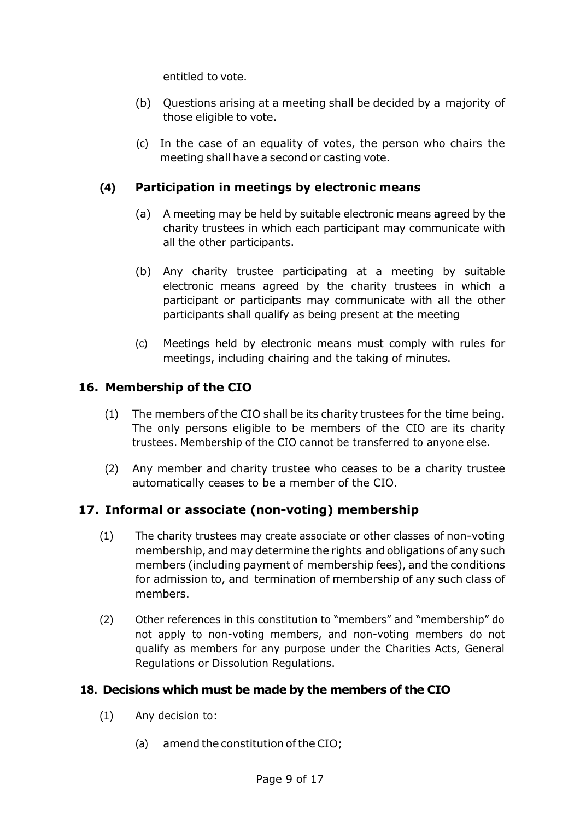entitled to vote.

- (b) Questions arising at a meeting shall be decided by a majority of those eligible to vote.
- (c) In the case of an equality of votes, the person who chairs the meeting shall have a second or casting vote.

# **(4) Participation in meetings by electronic means**

- (a) A meeting may be held by suitable electronic means agreed by the charity trustees in which each participant may communicate with all the other participants.
- (b) Any charity trustee participating at a meeting by suitable electronic means agreed by the charity trustees in which a participant or participants may communicate with all the other participants shall qualify as being present at the meeting
- (c) Meetings held by electronic means must comply with rules for meetings, including chairing and the taking of minutes.

# **16. Membership of the CIO**

- (1) The members of the CIO shall be its charity trustees for the time being. The only persons eligible to be members of the CIO are its charity trustees. Membership of the CIO cannot be transferred to anyone else.
- (2) Any member and charity trustee who ceases to be a charity trustee automatically ceases to be a member of the CIO.

# **17. Informal or associate (non-voting) membership**

- (1) The charity trustees may create associate or other classes of non-voting membership, and may determine the rights and obligations of any such members (including payment of membership fees), and the conditions for admission to, and termination of membership of any such class of members.
- (2) Other references in this constitution to "members" and "membership" do not apply to non-voting members, and non-voting members do not qualify as members for any purpose under the Charities Acts, General Regulations or Dissolution Regulations.

# **18. Decisions which must be made by the members of the CIO**

- (1) Any decision to:
	- (a) amend the constitution ofthe CIO;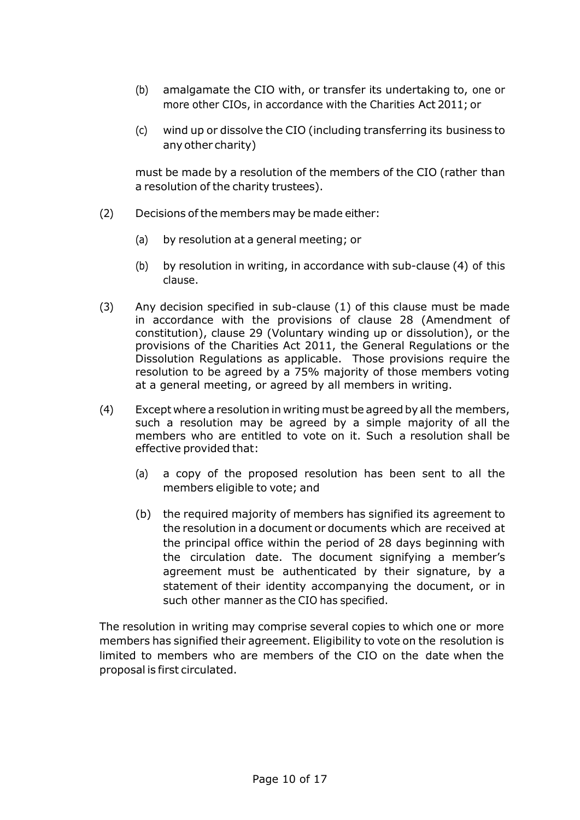- (b) amalgamate the CIO with, or transfer its undertaking to, one or more other CIOs, in accordance with the Charities Act 2011; or
- (c) wind up or dissolve the CIO (including transferring its business to any other charity)

must be made by a resolution of the members of the CIO (rather than a resolution of the charity trustees).

- (2) Decisions of the members may be made either:
	- (a) by resolution at a general meeting; or
	- (b) by resolution in writing, in accordance with sub-clause (4) of this clause.
- (3) Any decision specified in sub-clause (1) of this clause must be made in accordance with the provisions of clause 28 (Amendment of constitution), clause 29 (Voluntary winding up or dissolution), or the provisions of the Charities Act 2011, the General Regulations or the Dissolution Regulations as applicable. Those provisions require the resolution to be agreed by a 75% majority of those members voting at a general meeting, or agreed by all members in writing.
- (4) Except where a resolution in writing must be agreed by all the members, such a resolution may be agreed by a simple majority of all the members who are entitled to vote on it. Such a resolution shall be effective provided that:
	- (a) a copy of the proposed resolution has been sent to all the members eligible to vote; and
	- (b) the required majority of members has signified its agreement to the resolution in a document or documents which are received at the principal office within the period of 28 days beginning with the circulation date. The document signifying a member's agreement must be authenticated by their signature, by a statement of their identity accompanying the document, or in such other manner as the CIO has specified.

The resolution in writing may comprise several copies to which one or more members has signified their agreement. Eligibility to vote on the resolution is limited to members who are members of the CIO on the date when the proposal is first circulated.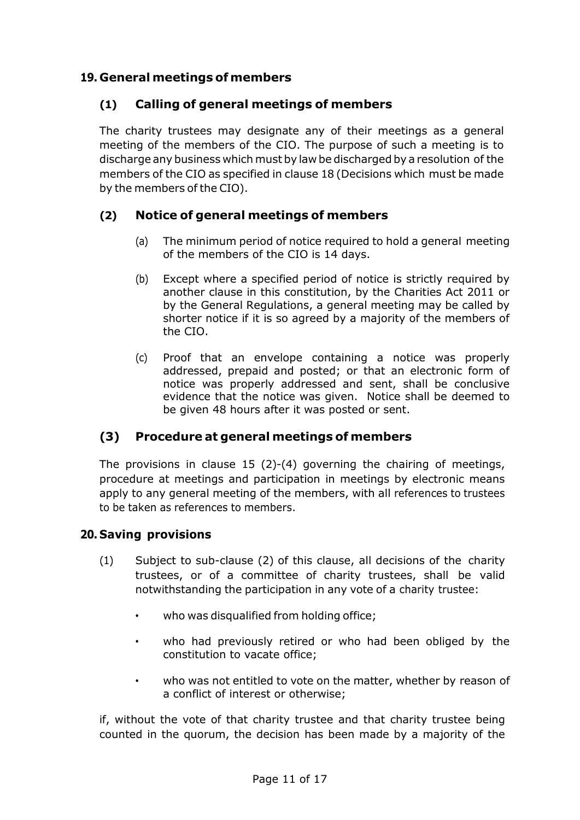# **19. General meetings of members**

# **(1) Calling of general meetings of members**

The charity trustees may designate any of their meetings as a general meeting of the members of the CIO. The purpose of such a meeting is to discharge any business which must by law be discharged by a resolution of the members of the CIO as specified in clause 18 (Decisions which must be made by the members of the CIO).

### **(2) Notice of general meetings of members**

- (a) The minimum period of notice required to hold a general meeting of the members of the CIO is 14 days.
- (b) Except where a specified period of notice is strictly required by another clause in this constitution, by the Charities Act 2011 or by the General Regulations, a general meeting may be called by shorter notice if it is so agreed by a majority of the members of the CIO.
- (c) Proof that an envelope containing a notice was properly addressed, prepaid and posted; or that an electronic form of notice was properly addressed and sent, shall be conclusive evidence that the notice was given. Notice shall be deemed to be given 48 hours after it was posted or sent.

# **(3) Procedure at general meetings of members**

The provisions in clause 15 (2)-(4) governing the chairing of meetings, procedure at meetings and participation in meetings by electronic means apply to any general meeting of the members, with all references to trustees to be taken as references to members.

### **20. Saving provisions**

- (1) Subject to sub-clause (2) of this clause, all decisions of the charity trustees, or of a committee of charity trustees, shall be valid notwithstanding the participation in any vote of a charity trustee:
	- who was disqualified from holding office;
	- who had previously retired or who had been obliged by the constitution to vacate office;
	- who was not entitled to vote on the matter, whether by reason of a conflict of interest or otherwise;

if, without the vote of that charity trustee and that charity trustee being counted in the quorum, the decision has been made by a majority of the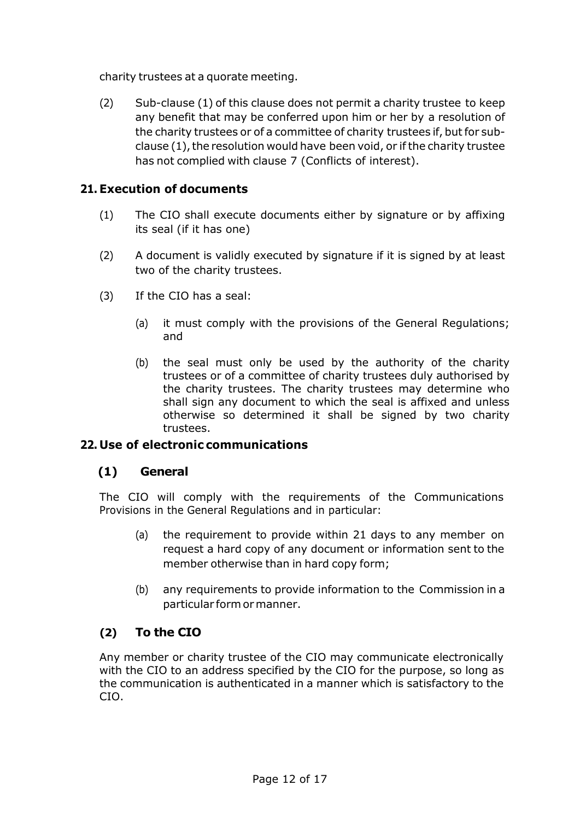charity trustees at a quorate meeting.

(2) Sub-clause (1) of this clause does not permit a charity trustee to keep any benefit that may be conferred upon him or her by a resolution of the charity trustees or of a committee of charity trustees if, butfor sub $clause (1)$ , the resolution would have been void, or if the charity trustee has not complied with clause 7 (Conflicts of interest).

### **21. Execution of documents**

- (1) The CIO shall execute documents either by signature or by affixing its seal (if it has one)
- (2) A document is validly executed by signature if it is signed by at least two of the charity trustees.
- (3) If the CIO has a seal:
	- (a) it must comply with the provisions of the General Regulations; and
	- (b) the seal must only be used by the authority of the charity trustees or of a committee of charity trustees duly authorised by the charity trustees. The charity trustees may determine who shall sign any document to which the seal is affixed and unless otherwise so determined it shall be signed by two charity trustees.

### **22. Use of electronic communications**

### **(1) General**

The CIO will comply with the requirements of the Communications Provisions in the General Regulations and in particular:

- (a) the requirement to provide within 21 days to any member on request a hard copy of any document or information sent to the member otherwise than in hard copy form;
- (b) any requirements to provide information to the Commission in a particular formormanner.

# **(2) To the CIO**

Any member or charity trustee of the CIO may communicate electronically with the CIO to an address specified by the CIO for the purpose, so long as the communication is authenticated in a manner which is satisfactory to the CIO.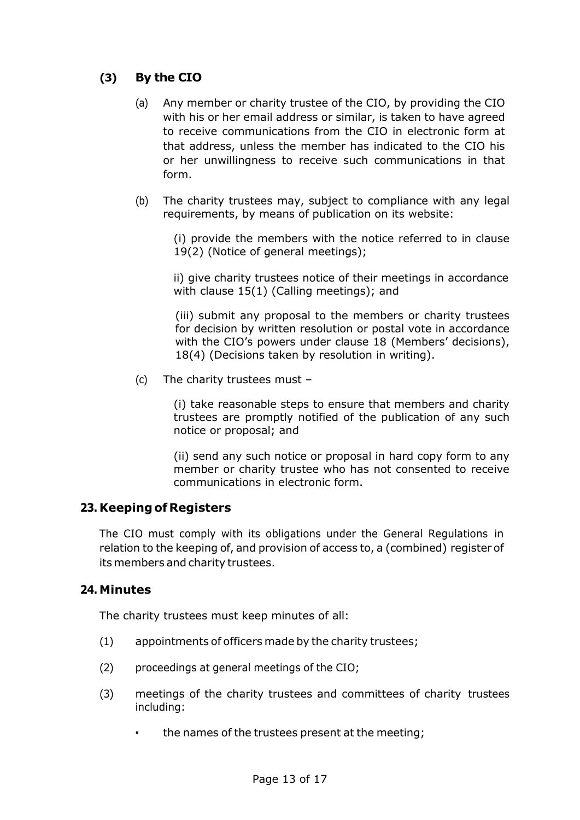# **(3) By the CIO**

- (a) Any member or charity trustee of the CIO, by providing the CIO with his or her email address or similar, is taken to have agreed to receive communications from the CIO in electronic form at that address, unless the member has indicated to the CIO his or her unwillingness to receive such communications in that form.
- (b) The charity trustees may, subject to compliance with any legal requirements, by means of publication on its website:

(i) provide the members with the notice referred to in clause 19(2) (Notice of general meetings);

ii) give charity trustees notice of their meetings in accordance with clause 15(1) (Calling meetings); and

(iii) submit any proposal to the members or charity trustees for decision by written resolution or postal vote in accordance with the CIO's powers under clause 18 (Members' decisions), 18(4) (Decisions taken by resolution in writing).

(c) The charity trustees must –

(i) take reasonable steps to ensure that members and charity trustees are promptly notified of the publication of any such notice or proposal; and

(ii) send any such notice or proposal in hard copy form to any member or charity trustee who has not consented to receive communications in electronic form.

### **23. Keepingof Registers**

The CIO must comply with its obligations under the General Regulations in relation to the keeping of, and provision of access to, a (combined) register of its members and charity trustees.

### **24. Minutes**

The charity trustees must keep minutes of all:

- (1) appointments of officers made by the charity trustees;
- (2) proceedings at general meetings of the CIO;
- (3) meetings of the charity trustees and committees of charity trustees including:
	- the names of the trustees present at the meeting;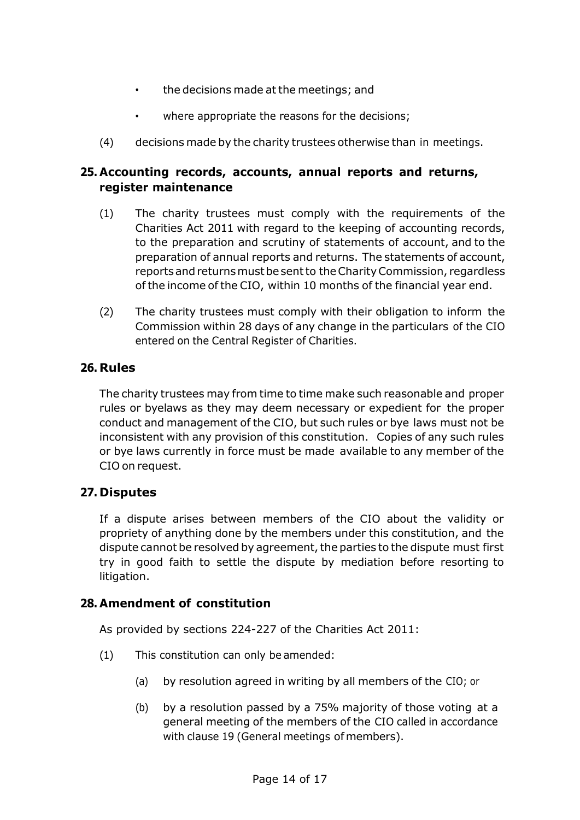- the decisions made at the meetings; and
- where appropriate the reasons for the decisions;
- (4) decisions made by the charity trustees otherwise than in meetings.

### **25. Accounting records, accounts, annual reports and returns, register maintenance**

- (1) The charity trustees must comply with the requirements of the Charities Act 2011 with regard to the keeping of accounting records, to the preparation and scrutiny of statements of account, and to the preparation of annual reports and returns. The statements of account, reports and returns must be sent to the Charity Commission, regardless ofthe income ofthe CIO, within 10 months of the financial year end.
- (2) The charity trustees must comply with their obligation to inform the Commission within 28 days of any change in the particulars of the CIO entered on the Central Register of Charities.

### **26. Rules**

The charity trustees may from time to time make such reasonable and proper rules or byelaws as they may deem necessary or expedient for the proper conduct and management of the CIO, but such rules or bye laws must not be inconsistent with any provision of this constitution. Copies of any such rules or bye laws currently in force must be made available to any member of the CIO on request.

### **27. Disputes**

If a dispute arises between members of the CIO about the validity or propriety of anything done by the members under this constitution, and the dispute cannot be resolved by agreement, the parties to the dispute must first try in good faith to settle the dispute by mediation before resorting to litigation.

### **28. Amendment of constitution**

As provided by sections 224-227 of the Charities Act 2011:

- (1) This constitution can only be amended:
	- (a) by resolution agreed in writing by all members of the CIO; or
	- (b) by a resolution passed by a 75% majority of those voting at a general meeting of the members of the CIO called in accordance with clause 19 (General meetings of members).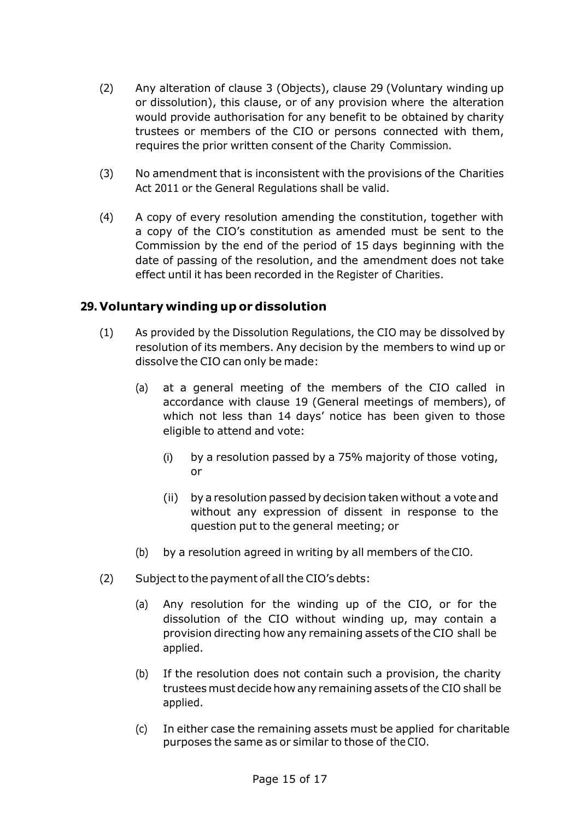- (2) Any alteration of clause 3 (Objects), clause 29 (Voluntary winding up or dissolution), this clause, or of any provision where the alteration would provide authorisation for any benefit to be obtained by charity trustees or members of the CIO or persons connected with them, requires the prior written consent of the Charity Commission.
- (3) No amendment that is inconsistent with the provisions of the Charities Act 2011 or the General Regulations shall be valid.
- (4) A copy of every resolution amending the constitution, together with a copy of the CIO's constitution as amended must be sent to the Commission by the end of the period of 15 days beginning with the date of passing of the resolution, and the amendment does not take effect until it has been recorded in the Register of Charities.

### **29. Voluntary winding up or dissolution**

- (1) As provided by the Dissolution Regulations, the CIO may be dissolved by resolution of its members. Any decision by the members to wind up or dissolve the CIO can only be made:
	- (a) at a general meeting of the members of the CIO called in accordance with clause 19 (General meetings of members), of which not less than 14 days' notice has been given to those eligible to attend and vote:
		- (i) by a resolution passed by a 75% majority of those voting, or
		- (ii) by a resolution passed by decision taken without a vote and without any expression of dissent in response to the question put to the general meeting; or
	- (b) by a resolution agreed in writing by all members of the CIO.
- $(2)$  Subject to the payment of all the CIO's debts:
	- (a) Any resolution for the winding up of the CIO, or for the dissolution of the CIO without winding up, may contain a provision directing how any remaining assets of the CIO shall be applied.
	- (b) If the resolution does not contain such a provision, the charity trusteesmustdecidehow any remaining assetsof the CIO shall be applied.
	- (c) In either case the remaining assets must be applied for charitable purposes the same as or similar to those of the CIO.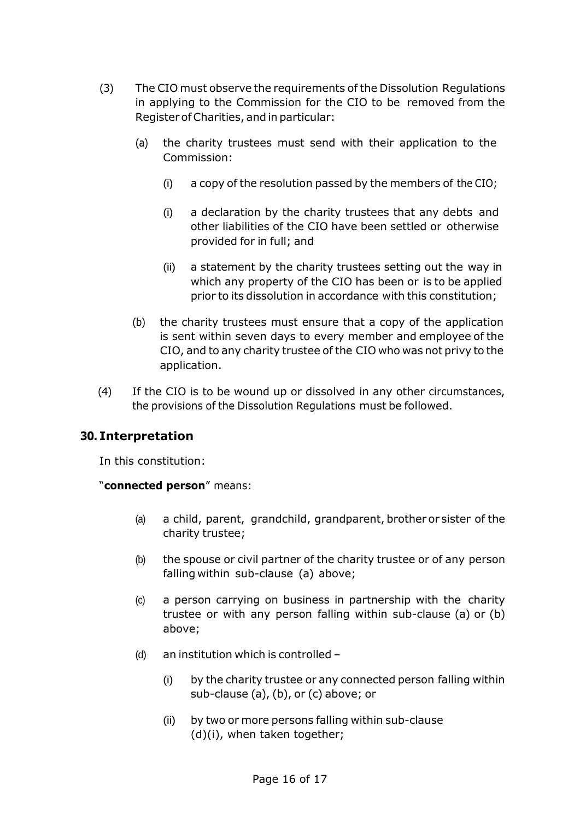- (3) The CIO must observe the requirements of the Dissolution Regulations in applying to the Commission for the CIO to be removed from the Register ofCharities, and in particular:
	- (a) the charity trustees must send with their application to the Commission:
		- (i) a copy of the resolution passed by the members of the CIO;
		- (i) a declaration by the charity trustees that any debts and other liabilities of the CIO have been settled or otherwise provided for in full; and
		- (ii) a statement by the charity trustees setting out the way in which any property of the CIO has been or is to be applied prior to its dissolution in accordance with this constitution;
	- (b) the charity trustees must ensure that a copy of the application is sent within seven days to every member and employee of the CIO, and to any charity trustee of the CIO who was not privy to the application.
- (4) If the CIO is to be wound up or dissolved in any other circumstances, the provisions of the Dissolution Regulations must be followed.

### **30. Interpretation**

In this constitution:

#### "**connected person**" means:

- (a) a child, parent, grandchild, grandparent, brother or sister of the charity trustee;
- (b) the spouse or civil partner of the charity trustee or of any person falling within sub-clause (a) above;
- (c) a person carrying on business in partnership with the charity trustee or with any person falling within sub-clause (a) or (b) above;
- (d) an institution which is controlled
	- (i) by the charity trustee or any connected person falling within sub-clause (a), (b), or (c) above; or
	- (ii) by two or more persons falling within sub-clause (d)(i), when taken together;